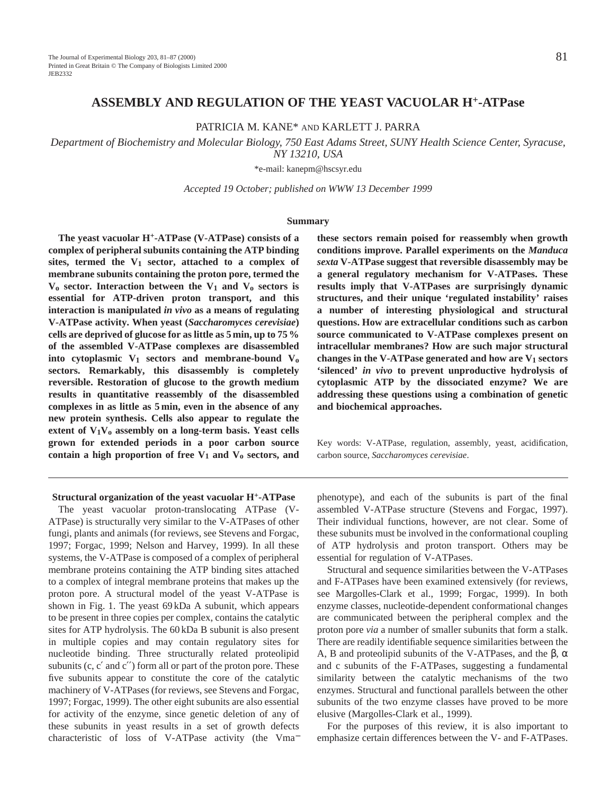PATRICIA M. KANE\* AND KARLETT J. PARRA

*Department of Biochemistry and Molecular Biology, 750 East Adams Street, SUNY Health Science Center, Syracuse, NY 13210, USA*

\*e-mail: kanepm@hscsyr.edu

*Accepted 19 October; published on WWW 13 December 1999*

#### **Summary**

**The yeast vacuolar H+-ATPase (V-ATPase) consists of a complex of peripheral subunits containing the ATP binding** sites, termed the V<sub>1</sub> sector, attached to a complex of **membrane subunits containing the proton pore, termed the**  $V_0$  **sector.** Interaction between the  $V_1$  and  $V_0$  **sectors** is **essential for ATP-driven proton transport, and this interaction is manipulated** *in vivo* **as a means of regulating V-ATPase activity. When yeast (***Saccharomyces cerevisiae***) cells are deprived of glucose for as little as 5 min, up to 75 % of the assembled V-ATPase complexes are disassembled into cytoplasmic V1 sectors and membrane-bound Vo sectors. Remarkably, this disassembly is completely reversible. Restoration of glucose to the growth medium results in quantitative reassembly of the disassembled complexes in as little as 5 min, even in the absence of any new protein synthesis. Cells also appear to regulate the extent of V1Vo assembly on a long-term basis. Yeast cells grown for extended periods in a poor carbon source** contain a high proportion of free  $V_1$  and  $V_0$  sectors, and

**Structural organization of the yeast vacuolar H+-ATPase**

The yeast vacuolar proton-translocating ATPase (V-ATPase) is structurally very similar to the V-ATPases of other fungi, plants and animals (for reviews, see Stevens and Forgac, 1997; Forgac, 1999; Nelson and Harvey, 1999). In all these systems, the V-ATPase is composed of a complex of peripheral membrane proteins containing the ATP binding sites attached to a complex of integral membrane proteins that makes up the proton pore. A structural model of the yeast V-ATPase is shown in Fig. 1. The yeast 69 kDa A subunit, which appears to be present in three copies per complex, contains the catalytic sites for ATP hydrolysis. The 60 kDa B subunit is also present in multiple copies and may contain regulatory sites for nucleotide binding. Three structurally related proteolipid subunits  $(c, c'$  and  $c'$ ) form all or part of the proton pore. These five subunits appear to constitute the core of the catalytic machinery of V-ATPases (for reviews, see Stevens and Forgac, 1997; Forgac, 1999). The other eight subunits are also essential for activity of the enzyme, since genetic deletion of any of these subunits in yeast results in a set of growth defects characteristic of loss of V-ATPase activity (the Vma<sup>−</sup>

**these sectors remain poised for reassembly when growth conditions improve. Parallel experiments on the** *Manduca sexta* **V-ATPase suggest that reversible disassembly may be a general regulatory mechanism for V-ATPases. These results imply that V-ATPases are surprisingly dynamic structures, and their unique 'regulated instability' raises a number of interesting physiological and structural questions. How are extracellular conditions such as carbon source communicated to V-ATPase complexes present on intracellular membranes? How are such major structural changes in the V-ATPase generated and how are V1 sectors 'silenced'** *in vivo* **to prevent unproductive hydrolysis of cytoplasmic ATP by the dissociated enzyme? We are addressing these questions using a combination of genetic and biochemical approaches.**

Key words: V-ATPase, regulation, assembly, yeast, acidification, carbon source, *Saccharomyces cerevisiae*.

phenotype), and each of the subunits is part of the final assembled V-ATPase structure (Stevens and Forgac, 1997). Their individual functions, however, are not clear. Some of these subunits must be involved in the conformational coupling of ATP hydrolysis and proton transport. Others may be essential for regulation of V-ATPases.

Structural and sequence similarities between the V-ATPases and F-ATPases have been examined extensively (for reviews, see Margolles-Clark et al., 1999; Forgac, 1999). In both enzyme classes, nucleotide-dependent conformational changes are communicated between the peripheral complex and the proton pore *via* a number of smaller subunits that form a stalk. There are readily identifiable sequence similarities between the A, B and proteolipid subunits of the V-ATPases, and the β,  $\alpha$ and c subunits of the F-ATPases, suggesting a fundamental similarity between the catalytic mechanisms of the two enzymes. Structural and functional parallels between the other subunits of the two enzyme classes have proved to be more elusive (Margolles-Clark et al., 1999).

For the purposes of this review, it is also important to emphasize certain differences between the V- and F-ATPases.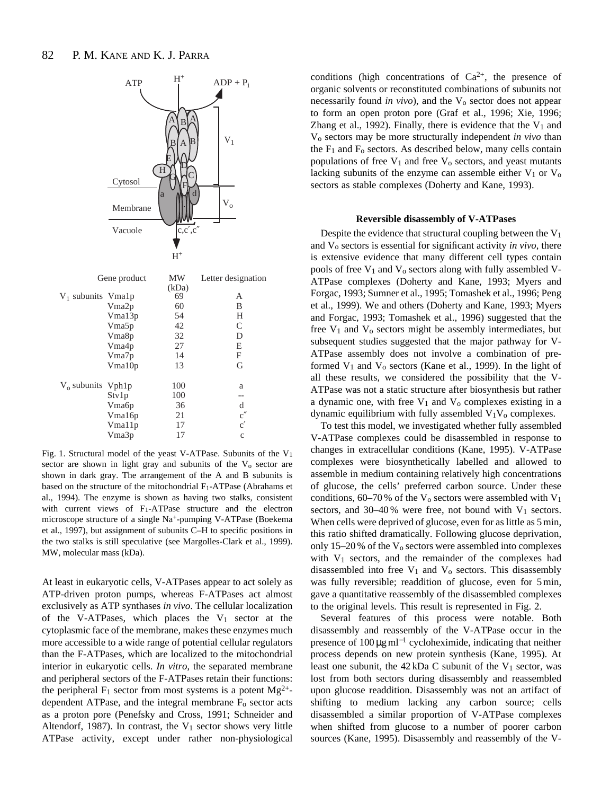

Fig. 1. Structural model of the yeast V-ATPase. Subunits of the  $V_1$ sector are shown in light gray and subunits of the  $V_0$  sector are shown in dark gray. The arrangement of the A and B subunits is based on the structure of the mitochondrial  $F_1$ -ATPase (Abrahams et al., 1994). The enzyme is shown as having two stalks, consistent with current views of F1-ATPase structure and the electron microscope structure of a single Na+-pumping V-ATPase (Boekema et al., 1997), but assignment of subunits C–H to specific positions in the two stalks is still speculative (see Margolles-Clark et al., 1999). MW, molecular mass (kDa).

At least in eukaryotic cells, V-ATPases appear to act solely as ATP-driven proton pumps, whereas F-ATPases act almost exclusively as ATP synthases *in vivo*. The cellular localization of the V-ATPases, which places the  $V_1$  sector at the cytoplasmic face of the membrane, makes these enzymes much more accessible to a wide range of potential cellular regulators than the F-ATPases, which are localized to the mitochondrial interior in eukaryotic cells. *In vitro*, the separated membrane and peripheral sectors of the F-ATPases retain their functions: the peripheral  $F_1$  sector from most systems is a potent  $Mg^{2+}$ dependent ATPase, and the integral membrane  $F_0$  sector acts as a proton pore (Penefsky and Cross, 1991; Schneider and Altendorf, 1987). In contrast, the  $V_1$  sector shows very little ATPase activity, except under rather non-physiological

conditions (high concentrations of  $Ca^{2+}$ , the presence of organic solvents or reconstituted combinations of subunits not necessarily found *in vivo*), and the V<sub>o</sub> sector does not appear to form an open proton pore (Graf et al., 1996; Xie, 1996; Zhang et al., 1992). Finally, there is evidence that the  $V_1$  and Vo sectors may be more structurally independent *in vivo* than the  $F_1$  and  $F_0$  sectors. As described below, many cells contain populations of free  $V_1$  and free  $V_0$  sectors, and yeast mutants lacking subunits of the enzyme can assemble either  $V_1$  or  $V_0$ sectors as stable complexes (Doherty and Kane, 1993).

#### **Reversible disassembly of V-ATPases**

Despite the evidence that structural coupling between the  $V_1$ and Vo sectors is essential for significant activity *in vivo*, there is extensive evidence that many different cell types contain pools of free  $V_1$  and  $V_0$  sectors along with fully assembled V-ATPase complexes (Doherty and Kane, 1993; Myers and Forgac, 1993; Sumner et al., 1995; Tomashek et al., 1996; Peng et al., 1999). We and others (Doherty and Kane, 1993; Myers and Forgac, 1993; Tomashek et al., 1996) suggested that the free  $V_1$  and  $V_0$  sectors might be assembly intermediates, but subsequent studies suggested that the major pathway for V-ATPase assembly does not involve a combination of preformed  $V_1$  and  $V_0$  sectors (Kane et al., 1999). In the light of all these results, we considered the possibility that the V-ATPase was not a static structure after biosynthesis but rather a dynamic one, with free  $V_1$  and  $V_0$  complexes existing in a dynamic equilibrium with fully assembled  $V_1V_0$  complexes.

To test this model, we investigated whether fully assembled V-ATPase complexes could be disassembled in response to changes in extracellular conditions (Kane, 1995). V-ATPase complexes were biosynthetically labelled and allowed to assemble in medium containing relatively high concentrations of glucose, the cells' preferred carbon source. Under these conditions,  $60-70\%$  of the V<sub>o</sub> sectors were assembled with V<sub>1</sub> sectors, and  $30-40\%$  were free, not bound with  $V_1$  sectors. When cells were deprived of glucose, even for as little as 5 min, this ratio shifted dramatically. Following glucose deprivation, only  $15-20\%$  of the V<sub>o</sub> sectors were assembled into complexes with V1 sectors, and the remainder of the complexes had disassembled into free  $V_1$  and  $V_0$  sectors. This disassembly was fully reversible; readdition of glucose, even for 5 min, gave a quantitative reassembly of the disassembled complexes to the original levels. This result is represented in Fig. 2.

Several features of this process were notable. Both disassembly and reassembly of the V-ATPase occur in the presence of  $100 \mu g$  ml<sup>-1</sup> cycloheximide, indicating that neither process depends on new protein synthesis (Kane, 1995). At least one subunit, the 42 kDa C subunit of the V<sub>1</sub> sector, was lost from both sectors during disassembly and reassembled upon glucose readdition. Disassembly was not an artifact of shifting to medium lacking any carbon source; cells disassembled a similar proportion of V-ATPase complexes when shifted from glucose to a number of poorer carbon sources (Kane, 1995). Disassembly and reassembly of the V-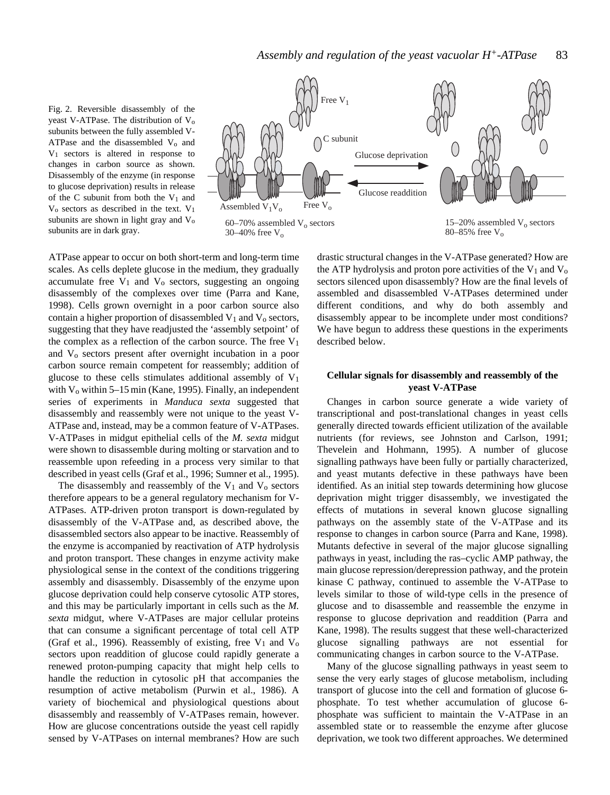Fig. 2. Reversible disassembly of the yeast V-ATPase. The distribution of  $V_0$ subunits between the fully assembled V-ATPase and the disassembled  $V_0$  and  $V_1$  sectors is altered in response to changes in carbon source as shown. Disassembly of the enzyme (in response to glucose deprivation) results in release of the C subunit from both the  $V_1$  and  $V_0$  sectors as described in the text.  $V_1$ subunits are shown in light gray and  $V_0$ subunits are in dark gray.



ATPase appear to occur on both short-term and long-term time scales. As cells deplete glucose in the medium, they gradually accumulate free  $V_1$  and  $V_0$  sectors, suggesting an ongoing disassembly of the complexes over time (Parra and Kane, 1998). Cells grown overnight in a poor carbon source also contain a higher proportion of disassembled  $V_1$  and  $V_0$  sectors, suggesting that they have readjusted the 'assembly setpoint' of the complex as a reflection of the carbon source. The free  $V_1$ and Vo sectors present after overnight incubation in a poor carbon source remain competent for reassembly; addition of glucose to these cells stimulates additional assembly of  $V_1$ with  $V_0$  within 5–15 min (Kane, 1995). Finally, an independent series of experiments in *Manduca sexta* suggested that disassembly and reassembly were not unique to the yeast V-ATPase and, instead, may be a common feature of V-ATPases. V-ATPases in midgut epithelial cells of the *M. sexta* midgut were shown to disassemble during molting or starvation and to reassemble upon refeeding in a process very similar to that described in yeast cells (Graf et al., 1996; Sumner et al., 1995).

The disassembly and reassembly of the  $V_1$  and  $V_0$  sectors therefore appears to be a general regulatory mechanism for V-ATPases. ATP-driven proton transport is down-regulated by disassembly of the V-ATPase and, as described above, the disassembled sectors also appear to be inactive. Reassembly of the enzyme is accompanied by reactivation of ATP hydrolysis and proton transport. These changes in enzyme activity make physiological sense in the context of the conditions triggering assembly and disassembly. Disassembly of the enzyme upon glucose deprivation could help conserve cytosolic ATP stores, and this may be particularly important in cells such as the *M. sexta* midgut, where V-ATPases are major cellular proteins that can consume a significant percentage of total cell ATP (Graf et al., 1996). Reassembly of existing, free  $V_1$  and  $V_0$ sectors upon readdition of glucose could rapidly generate a renewed proton-pumping capacity that might help cells to handle the reduction in cytosolic pH that accompanies the resumption of active metabolism (Purwin et al., 1986). A variety of biochemical and physiological questions about disassembly and reassembly of V-ATPases remain, however. How are glucose concentrations outside the yeast cell rapidly sensed by V-ATPases on internal membranes? How are such

drastic structural changes in the V-ATPase generated? How are the ATP hydrolysis and proton pore activities of the  $V_1$  and  $V_0$ sectors silenced upon disassembly? How are the final levels of assembled and disassembled V-ATPases determined under different conditions, and why do both assembly and disassembly appear to be incomplete under most conditions? We have begun to address these questions in the experiments described below.

# **Cellular signals for disassembly and reassembly of the yeast V-ATPase**

Changes in carbon source generate a wide variety of transcriptional and post-translational changes in yeast cells generally directed towards efficient utilization of the available nutrients (for reviews, see Johnston and Carlson, 1991; Thevelein and Hohmann, 1995). A number of glucose signalling pathways have been fully or partially characterized, and yeast mutants defective in these pathways have been identified. As an initial step towards determining how glucose deprivation might trigger disassembly, we investigated the effects of mutations in several known glucose signalling pathways on the assembly state of the V-ATPase and its response to changes in carbon source (Parra and Kane, 1998). Mutants defective in several of the major glucose signalling pathways in yeast, including the ras–cyclic AMP pathway, the main glucose repression/derepression pathway, and the protein kinase C pathway, continued to assemble the V-ATPase to levels similar to those of wild-type cells in the presence of glucose and to disassemble and reassemble the enzyme in response to glucose deprivation and readdition (Parra and Kane, 1998). The results suggest that these well-characterized glucose signalling pathways are not essential for communicating changes in carbon source to the V-ATPase.

Many of the glucose signalling pathways in yeast seem to sense the very early stages of glucose metabolism, including transport of glucose into the cell and formation of glucose 6 phosphate. To test whether accumulation of glucose 6 phosphate was sufficient to maintain the V-ATPase in an assembled state or to reassemble the enzyme after glucose deprivation, we took two different approaches. We determined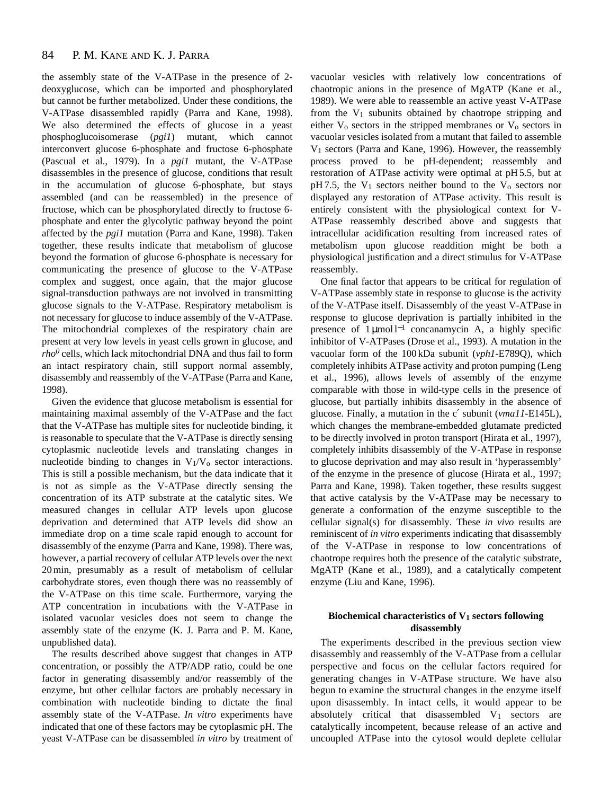the assembly state of the V-ATPase in the presence of 2 deoxyglucose, which can be imported and phosphorylated but cannot be further metabolized. Under these conditions, the V-ATPase disassembled rapidly (Parra and Kane, 1998). We also determined the effects of glucose in a yeast phosphoglucoisomerase (*pgi1*) mutant, which cannot interconvert glucose 6-phosphate and fructose 6-phosphate (Pascual et al., 1979). In a *pgi1* mutant, the V-ATPase disassembles in the presence of glucose, conditions that result in the accumulation of glucose 6-phosphate, but stays assembled (and can be reassembled) in the presence of fructose, which can be phosphorylated directly to fructose 6 phosphate and enter the glycolytic pathway beyond the point affected by the *pgi1* mutation (Parra and Kane, 1998). Taken together, these results indicate that metabolism of glucose beyond the formation of glucose 6-phosphate is necessary for communicating the presence of glucose to the V-ATPase complex and suggest, once again, that the major glucose signal-transduction pathways are not involved in transmitting glucose signals to the V-ATPase. Respiratory metabolism is not necessary for glucose to induce assembly of the V-ATPase. The mitochondrial complexes of the respiratory chain are present at very low levels in yeast cells grown in glucose, and *rho0* cells, which lack mitochondrial DNA and thus fail to form an intact respiratory chain, still support normal assembly, disassembly and reassembly of the V-ATPase (Parra and Kane, 1998).

Given the evidence that glucose metabolism is essential for maintaining maximal assembly of the V-ATPase and the fact that the V-ATPase has multiple sites for nucleotide binding, it is reasonable to speculate that the V-ATPase is directly sensing cytoplasmic nucleotide levels and translating changes in nucleotide binding to changes in  $V_1/V_0$  sector interactions. This is still a possible mechanism, but the data indicate that it is not as simple as the V-ATPase directly sensing the concentration of its ATP substrate at the catalytic sites. We measured changes in cellular ATP levels upon glucose deprivation and determined that ATP levels did show an immediate drop on a time scale rapid enough to account for disassembly of the enzyme (Parra and Kane, 1998). There was, however, a partial recovery of cellular ATP levels over the next 20 min, presumably as a result of metabolism of cellular carbohydrate stores, even though there was no reassembly of the V-ATPase on this time scale. Furthermore, varying the ATP concentration in incubations with the V-ATPase in isolated vacuolar vesicles does not seem to change the assembly state of the enzyme (K. J. Parra and P. M. Kane, unpublished data).

The results described above suggest that changes in ATP concentration, or possibly the ATP/ADP ratio, could be one factor in generating disassembly and/or reassembly of the enzyme, but other cellular factors are probably necessary in combination with nucleotide binding to dictate the final assembly state of the V-ATPase. *In vitro* experiments have indicated that one of these factors may be cytoplasmic pH. The yeast V-ATPase can be disassembled *in vitro* by treatment of vacuolar vesicles with relatively low concentrations of chaotropic anions in the presence of MgATP (Kane et al., 1989). We were able to reassemble an active yeast V-ATPase from the  $V_1$  subunits obtained by chaotrope stripping and either  $V_0$  sectors in the stripped membranes or  $V_0$  sectors in vacuolar vesicles isolated from a mutant that failed to assemble V1 sectors (Parra and Kane, 1996). However, the reassembly process proved to be pH-dependent; reassembly and restoration of ATPase activity were optimal at pH 5.5, but at pH 7.5, the  $V_1$  sectors neither bound to the  $V_0$  sectors nor displayed any restoration of ATPase activity. This result is entirely consistent with the physiological context for V-ATPase reassembly described above and suggests that intracellular acidification resulting from increased rates of metabolism upon glucose readdition might be both a physiological justification and a direct stimulus for V-ATPase reassembly.

One final factor that appears to be critical for regulation of V-ATPase assembly state in response to glucose is the activity of the V-ATPase itself. Disassembly of the yeast V-ATPase in response to glucose deprivation is partially inhibited in the presence of 1 µmol l<sup>-1</sup> concanamycin A, a highly specific inhibitor of V-ATPases (Drose et al., 1993). A mutation in the vacuolar form of the 100 kDa subunit (*vph1*-E789Q), which completely inhibits ATPase activity and proton pumping (Leng et al., 1996), allows levels of assembly of the enzyme comparable with those in wild-type cells in the presence of glucose, but partially inhibits disassembly in the absence of glucose. Finally, a mutation in the c′ subunit (*vma11*-E145L), which changes the membrane-embedded glutamate predicted to be directly involved in proton transport (Hirata et al., 1997), completely inhibits disassembly of the V-ATPase in response to glucose deprivation and may also result in 'hyperassembly' of the enzyme in the presence of glucose (Hirata et al., 1997; Parra and Kane, 1998). Taken together, these results suggest that active catalysis by the V-ATPase may be necessary to generate a conformation of the enzyme susceptible to the cellular signal(s) for disassembly. These *in vivo* results are reminiscent of *in vitro* experiments indicating that disassembly of the V-ATPase in response to low concentrations of chaotrope requires both the presence of the catalytic substrate, MgATP (Kane et al., 1989), and a catalytically competent enzyme (Liu and Kane, 1996).

## **Biochemical characteristics of V1 sectors following disassembly**

The experiments described in the previous section view disassembly and reassembly of the V-ATPase from a cellular perspective and focus on the cellular factors required for generating changes in V-ATPase structure. We have also begun to examine the structural changes in the enzyme itself upon disassembly. In intact cells, it would appear to be absolutely critical that disassembled V1 sectors are catalytically incompetent, because release of an active and uncoupled ATPase into the cytosol would deplete cellular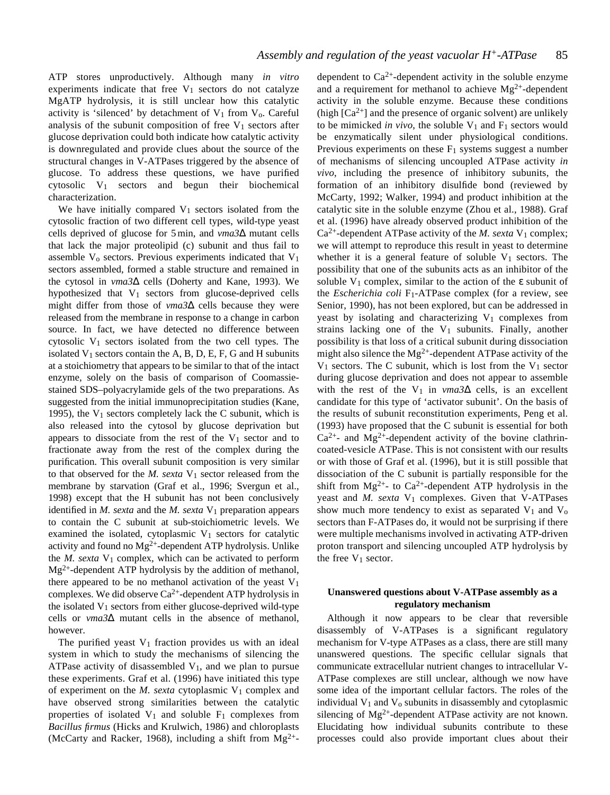ATP stores unproductively. Although many *in vitro* experiments indicate that free  $V_1$  sectors do not catalyze MgATP hydrolysis, it is still unclear how this catalytic activity is 'silenced' by detachment of  $V_1$  from  $V_0$ . Careful analysis of the subunit composition of free  $V_1$  sectors after glucose deprivation could both indicate how catalytic activity is downregulated and provide clues about the source of the structural changes in V-ATPases triggered by the absence of glucose. To address these questions, we have purified cytosolic V1 sectors and begun their biochemical characterization.

We have initially compared  $V_1$  sectors isolated from the cytosolic fraction of two different cell types, wild-type yeast cells deprived of glucose for 5 min, and *vma3*∆ mutant cells that lack the major proteolipid (c) subunit and thus fail to assemble  $V_0$  sectors. Previous experiments indicated that  $V_1$ sectors assembled, formed a stable structure and remained in the cytosol in *vma3*∆ cells (Doherty and Kane, 1993). We hypothesized that  $V_1$  sectors from glucose-deprived cells might differ from those of *vma3*∆ cells because they were released from the membrane in response to a change in carbon source. In fact, we have detected no difference between cytosolic  $V_1$  sectors isolated from the two cell types. The isolated  $V_1$  sectors contain the A, B, D, E, F, G and H subunits at a stoichiometry that appears to be similar to that of the intact enzyme, solely on the basis of comparison of Coomassiestained SDS–polyacrylamide gels of the two preparations. As suggested from the initial immunoprecipitation studies (Kane, 1995), the  $V_1$  sectors completely lack the C subunit, which is also released into the cytosol by glucose deprivation but appears to dissociate from the rest of the  $V_1$  sector and to fractionate away from the rest of the complex during the purification. This overall subunit composition is very similar to that observed for the *M. sexta* V1 sector released from the membrane by starvation (Graf et al., 1996; Svergun et al., 1998) except that the H subunit has not been conclusively identified in  $M$ . sexta and the  $M$ . sexta  $V_1$  preparation appears to contain the C subunit at sub-stoichiometric levels. We examined the isolated, cytoplasmic  $V_1$  sectors for catalytic activity and found no  $Mg^{2+}$ -dependent ATP hydrolysis. Unlike the  $M$ . sexta  $V_1$  complex, which can be activated to perform  $Mg^{2+}$ -dependent ATP hydrolysis by the addition of methanol, there appeared to be no methanol activation of the yeast  $V_1$ complexes. We did observe  $Ca^{2+}$ -dependent ATP hydrolysis in the isolated  $V_1$  sectors from either glucose-deprived wild-type cells or *vma3*∆ mutant cells in the absence of methanol, however.

The purified yeast  $V_1$  fraction provides us with an ideal system in which to study the mechanisms of silencing the ATPase activity of disassembled  $V_1$ , and we plan to pursue these experiments. Graf et al. (1996) have initiated this type of experiment on the  $M$ . sexta cytoplasmic  $V_1$  complex and have observed strong similarities between the catalytic properties of isolated  $V_1$  and soluble  $F_1$  complexes from *Bacillus firmus* (Hicks and Krulwich, 1986) and chloroplasts (McCarty and Racker, 1968), including a shift from  $Mg^{2+}$ -

dependent to  $Ca^{2+}$ -dependent activity in the soluble enzyme and a requirement for methanol to achieve  $Mg^{2+}$ -dependent activity in the soluble enzyme. Because these conditions (high  $[Ca^{2+}]$  and the presence of organic solvent) are unlikely to be mimicked *in vivo*, the soluble  $V_1$  and  $F_1$  sectors would be enzymatically silent under physiological conditions. Previous experiments on these  $F_1$  systems suggest a number of mechanisms of silencing uncoupled ATPase activity *in vivo*, including the presence of inhibitory subunits, the formation of an inhibitory disulfide bond (reviewed by McCarty, 1992; Walker, 1994) and product inhibition at the catalytic site in the soluble enzyme (Zhou et al., 1988). Graf et al. (1996) have already observed product inhibition of the  $Ca^{2+}$ -dependent ATPase activity of the *M. sexta*  $V_1$  complex; we will attempt to reproduce this result in yeast to determine whether it is a general feature of soluble  $V_1$  sectors. The possibility that one of the subunits acts as an inhibitor of the soluble  $V_1$  complex, similar to the action of the  $\varepsilon$  subunit of the *Escherichia coli* F1-ATPase complex (for a review, see Senior, 1990), has not been explored, but can be addressed in yeast by isolating and characterizing  $V_1$  complexes from strains lacking one of the  $V_1$  subunits. Finally, another possibility is that loss of a critical subunit during dissociation might also silence the  $Mg^{2+}$ -dependent ATPase activity of the  $V_1$  sectors. The C subunit, which is lost from the  $V_1$  sector during glucose deprivation and does not appear to assemble with the rest of the V<sub>1</sub> in  $vma3\Delta$  cells, is an excellent candidate for this type of 'activator subunit'. On the basis of the results of subunit reconstitution experiments, Peng et al. (1993) have proposed that the C subunit is essential for both  $Ca<sup>2+</sup>$ - and Mg<sup>2+</sup>-dependent activity of the bovine clathrincoated-vesicle ATPase. This is not consistent with our results or with those of Graf et al. (1996), but it is still possible that dissociation of the C subunit is partially responsible for the shift from  $Mg^{2+}$ - to Ca<sup>2+</sup>-dependent ATP hydrolysis in the yeast and *M. sexta* V<sub>1</sub> complexes. Given that V-ATPases show much more tendency to exist as separated  $V_1$  and  $V_0$ sectors than F-ATPases do, it would not be surprising if there were multiple mechanisms involved in activating ATP-driven proton transport and silencing uncoupled ATP hydrolysis by the free  $V_1$  sector.

# **Unanswered questions about V-ATPase assembly as a regulatory mechanism**

Although it now appears to be clear that reversible disassembly of V-ATPases is a significant regulatory mechanism for V-type ATPases as a class, there are still many unanswered questions. The specific cellular signals that communicate extracellular nutrient changes to intracellular V-ATPase complexes are still unclear, although we now have some idea of the important cellular factors. The roles of the individual  $V_1$  and  $V_0$  subunits in disassembly and cytoplasmic silencing of  $Mg^{2+}$ -dependent ATPase activity are not known. Elucidating how individual subunits contribute to these processes could also provide important clues about their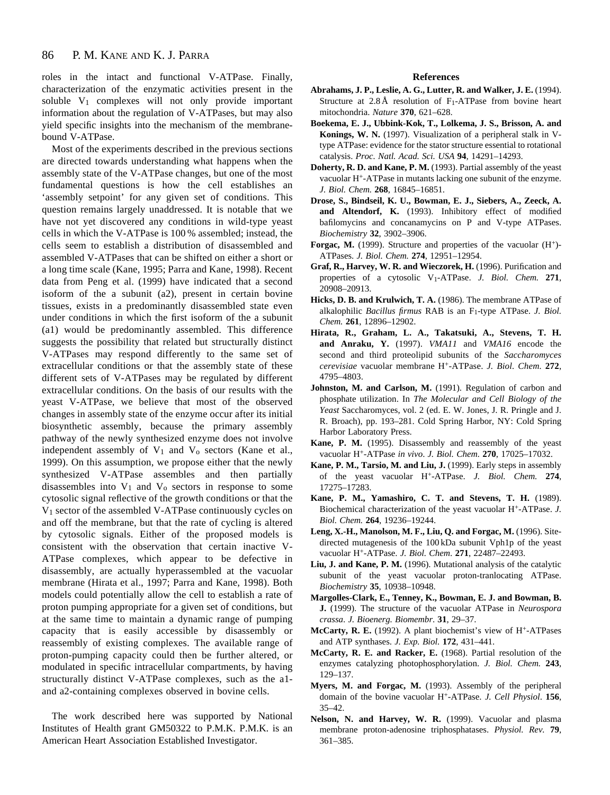roles in the intact and functional V-ATPase. Finally, characterization of the enzymatic activities present in the soluble V1 complexes will not only provide important information about the regulation of V-ATPases, but may also yield specific insights into the mechanism of the membranebound V-ATPase.

Most of the experiments described in the previous sections are directed towards understanding what happens when the assembly state of the V-ATPase changes, but one of the most fundamental questions is how the cell establishes an 'assembly setpoint' for any given set of conditions. This question remains largely unaddressed. It is notable that we have not yet discovered any conditions in wild-type yeast cells in which the V-ATPase is 100 % assembled; instead, the cells seem to establish a distribution of disassembled and assembled V-ATPases that can be shifted on either a short or a long time scale (Kane, 1995; Parra and Kane, 1998). Recent data from Peng et al. (1999) have indicated that a second isoform of the a subunit (a2), present in certain bovine tissues, exists in a predominantly disassembled state even under conditions in which the first isoform of the a subunit (a1) would be predominantly assembled. This difference suggests the possibility that related but structurally distinct V-ATPases may respond differently to the same set of extracellular conditions or that the assembly state of these different sets of V-ATPases may be regulated by different extracellular conditions. On the basis of our results with the yeast V-ATPase, we believe that most of the observed changes in assembly state of the enzyme occur after its initial biosynthetic assembly, because the primary assembly pathway of the newly synthesized enzyme does not involve independent assembly of  $V_1$  and  $V_0$  sectors (Kane et al., 1999). On this assumption, we propose either that the newly synthesized V-ATPase assembles and then partially disassembles into  $V_1$  and  $V_0$  sectors in response to some cytosolic signal reflective of the growth conditions or that the V1 sector of the assembled V-ATPase continuously cycles on and off the membrane, but that the rate of cycling is altered by cytosolic signals. Either of the proposed models is consistent with the observation that certain inactive V-ATPase complexes, which appear to be defective in disassembly, are actually hyperassembled at the vacuolar membrane (Hirata et al., 1997; Parra and Kane, 1998). Both models could potentially allow the cell to establish a rate of proton pumping appropriate for a given set of conditions, but at the same time to maintain a dynamic range of pumping capacity that is easily accessible by disassembly or reassembly of existing complexes. The available range of proton-pumping capacity could then be further altered, or modulated in specific intracellular compartments, by having structurally distinct V-ATPase complexes, such as the a1 and a2-containing complexes observed in bovine cells.

The work described here was supported by National Institutes of Health grant GM50322 to P.M.K. P.M.K. is an American Heart Association Established Investigator.

#### **References**

- **Abrahams, J. P., Leslie, A. G., Lutter, R. and Walker, J. E.** (1994). Structure at  $2.8 \text{ Å}$  resolution of F<sub>1</sub>-ATPase from bovine heart mitochondria. *Nature* **370**, 621–628.
- **Boekema, E. J., Ubbink-Kok, T., Lolkema, J. S., Brisson, A. and Konings, W. N.** (1997). Visualization of a peripheral stalk in Vtype ATPase: evidence for the stator structure essential to rotational catalysis. *Proc. Natl. Acad. Sci. USA* **94**, 14291–14293.
- **Doherty, R. D. and Kane, P. M.** (1993). Partial assembly of the yeast vacuolar H+-ATPase in mutants lacking one subunit of the enzyme. *J. Biol. Chem.* **268**, 16845–16851.
- **Drose, S., Bindseil, K. U., Bowman, E. J., Siebers, A., Zeeck, A. and Altendorf, K.** (1993). Inhibitory effect of modified bafilomycins and concanamycins on P and V-type ATPases. *Biochemistry* **32**, 3902–3906.
- Forgac, M. (1999). Structure and properties of the vacuolar (H<sup>+</sup>)-ATPases. *J. Biol. Chem.* **274**, 12951–12954.
- **Graf, R., Harvey, W. R. and Wieczorek, H.** (1996). Purification and properties of a cytosolic V1-ATPase. *J. Biol. Chem.* **271**, 20908–20913.
- **Hicks, D. B. and Krulwich, T. A.** (1986). The membrane ATPase of alkalophilic *Bacillus firmus* RAB is an F1-type ATPase. *J. Biol. Chem.* **261**, 12896–12902.
- **Hirata, R., Graham, L. A., Takatsuki, A., Stevens, T. H. and Anraku, Y.** (1997). *VMA11* and *VMA16* encode the second and third proteolipid subunits of the *Saccharomyces cerevisiae* vacuolar membrane H+-ATPase. *J. Biol. Chem.* **272**, 4795–4803.
- Johnston, M. and Carlson, M. (1991). Regulation of carbon and phosphate utilization. In *The Molecular and Cell Biology of the Yeast* Saccharomyces, vol. 2 (ed. E. W. Jones, J. R. Pringle and J. R. Broach), pp. 193–281. Cold Spring Harbor, NY: Cold Spring Harbor Laboratory Press.
- **Kane, P. M.** (1995). Disassembly and reassembly of the yeast vacuolar H+-ATPase *in vivo*. *J. Biol. Chem.* **270**, 17025–17032.
- **Kane, P. M., Tarsio, M. and Liu, J.** (1999). Early steps in assembly of the yeast vacuolar H+-ATPase. *J. Biol. Chem.* **274**, 17275–17283.
- **Kane, P. M., Yamashiro, C. T. and Stevens, T. H.** (1989). Biochemical characterization of the yeast vacuolar H+-ATPase. *J. Biol. Chem.* **264**, 19236–19244.
- **Leng, X.-H., Manolson, M. F., Liu, Q. and Forgac, M.** (1996). Sitedirected mutagenesis of the 100 kDa subunit Vph1p of the yeast vacuolar H+-ATPase. *J. Biol. Chem*. **271**, 22487–22493.
- **Liu, J. and Kane, P. M.** (1996). Mutational analysis of the catalytic subunit of the yeast vacuolar proton-tranlocating ATPase. *Biochemistry* **35**, 10938–10948.
- **Margolles-Clark, E., Tenney, K., Bowman, E. J. and Bowman, B. J.** (1999). The structure of the vacuolar ATPase in *Neurospora crassa*. *J. Bioenerg. Biomembr*. **31**, 29–37.
- **McCarty, R. E.** (1992). A plant biochemist's view of H+-ATPases and ATP synthases. *J. Exp. Biol.* **172**, 431–441.
- **McCarty, R. E. and Racker, E.** (1968). Partial resolution of the enzymes catalyzing photophosphorylation. *J. Biol. Chem.* **243**, 129–137.
- **Myers, M. and Forgac, M.** (1993). Assembly of the peripheral domain of the bovine vacuolar H+-ATPase. *J. Cell Physiol*. **156**, 35–42.
- **Nelson, N. and Harvey, W. R.** (1999). Vacuolar and plasma membrane proton-adenosine triphosphatases. *Physiol. Rev.* **79**, 361–385.